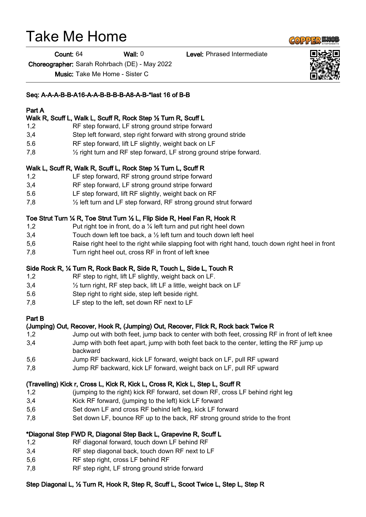# Take Me Home

Count: 64 Wall: 0 Level: Phrased Intermediate

Choreographer: Sarah Rohrbach (DE) - May 2022

Music: Take Me Home - Sister C

#### Seq: A-A-A-B-B-A16-A-A-B-B-B-B-A8-A-B-\*last 16 of B-B

## Part A

## Walk R, Scuff L, Walk L, Scuff R, Rock Step ½ Turn R, Scuff L

- 1,2 RF step forward, LF strong ground stripe forward
- 3,4 Step left forward, step right forward with strong ground stride
- 5.6 RF step forward, lift LF slightly, weight back on LF
- 7,8 ½ right turn and RF step forward, LF strong ground stripe forward.

#### Walk L, Scuff R, Walk R, Scuff L, Rock Step ½ Turn L, Scuff R

- 1,2 LF step forward, RF strong ground stripe forward
- 3,4 RF step forward, LF strong ground stripe forward
- 5.6 LF step forward, lift RF slightly, weight back on RF
- 7,8 ½ left turn and LF step forward, RF strong ground strut forward

#### Toe Strut Turn ¼ R, Toe Strut Turn ½ L, Flip Side R, Heel Fan R, Hook R

- 1,2 Put right toe in front, do a 1/4 left turn and put right heel down
- 3,4 Touch down left toe back, a  $\frac{1}{2}$  left turn and touch down left heel
- 5,6 Raise right heel to the right while slapping foot with right hand, touch down right heel in front
- 7,8 Turn right heel out, cross RF in front of left knee

#### Side Rock R, ¼ Turn R, Rock Back R, Side R, Touch L, Side L, Touch R

- 1,2 RF step to right, lift LF slightly, weight back on LF.
- 3,4 ½ turn right, RF step back, lift LF a little, weight back on LF
- 5.6 Step right to right side, step left beside right.
- 7,8 LF step to the left, set down RF next to LF

#### Part B

#### (Jumping) Out, Recover, Hook R, (Jumping) Out, Recover, Flick R, Rock back Twice R

- 1,2 Jump out with both feet, jump back to center with both feet, crossing RF in front of left knee 3,4 Jump with both feet apart, jump with both feet back to the center, letting the RF jump up backward
- 5,6 Jump RF backward, kick LF forward, weight back on LF, pull RF upward
- 7,8 Jump RF backward, kick LF forward, weight back on LF, pull RF upward

#### (Travelling) Kick r, Cross L, Kick R, Kick L, Cross R, Kick L, Step L, Scuff R

- 1,2 (jumping to the right) kick RF forward, set down RF, cross LF behind right leg
- 3,4 Kick RF forward, (jumping to the left) kick LF forward
- 5,6 Set down LF and cross RF behind left leg, kick LF forward
- 7,8 Set down LF, bounce RF up to the back, RF strong ground stride to the front

#### \*Diagonal Step FWD R, Diagonal Step Back L, Grapevine R, Scuff L

- 1,2 RF diagonal forward, touch down LF behind RF
- 3,4 RF step diagonal back, touch down RF next to LF
- 5,6 RF step right, cross LF behind RF
- 7,8 RF step right, LF strong ground stride forward

# Step Diagonal L, ½ Turn R, Hook R, Step R, Scuff L, Scoot Twice L, Step L, Step R